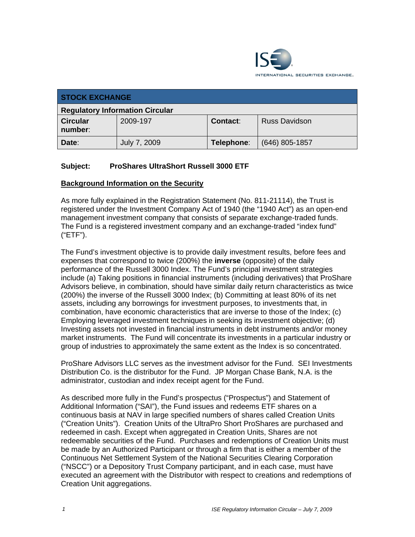

| <b>STOCK EXCHANGE</b>                  |              |            |                      |  |  |
|----------------------------------------|--------------|------------|----------------------|--|--|
| <b>Regulatory Information Circular</b> |              |            |                      |  |  |
| <b>Circular</b><br>number:             | 2009-197     | Contact:   | <b>Russ Davidson</b> |  |  |
| Date:                                  | July 7, 2009 | Telephone: | $(646)$ 805-1857     |  |  |

### **Subject: ProShares UltraShort Russell 3000 ETF**

#### **Background Information on the Security**

As more fully explained in the Registration Statement (No. 811-21114), the Trust is registered under the Investment Company Act of 1940 (the "1940 Act") as an open-end management investment company that consists of separate exchange-traded funds. The Fund is a registered investment company and an exchange-traded "index fund" ("ETF").

The Fund's investment objective is to provide daily investment results, before fees and expenses that correspond to twice (200%) the **inverse** (opposite) of the daily performance of the Russell 3000 Index. The Fund's principal investment strategies include (a) Taking positions in financial instruments (including derivatives) that ProShare Advisors believe, in combination, should have similar daily return characteristics as twice (200%) the inverse of the Russell 3000 Index; (b) Committing at least 80% of its net assets, including any borrowings for investment purposes, to investments that, in combination, have economic characteristics that are inverse to those of the Index; (c) Employing leveraged investment techniques in seeking its investment objective; (d) Investing assets not invested in financial instruments in debt instruments and/or money market instruments. The Fund will concentrate its investments in a particular industry or group of industries to approximately the same extent as the Index is so concentrated.

ProShare Advisors LLC serves as the investment advisor for the Fund. SEI Investments Distribution Co. is the distributor for the Fund. JP Morgan Chase Bank, N.A. is the administrator, custodian and index receipt agent for the Fund.

As described more fully in the Fund's prospectus ("Prospectus") and Statement of Additional Information ("SAI"), the Fund issues and redeems ETF shares on a continuous basis at NAV in large specified numbers of shares called Creation Units ("Creation Units"). Creation Units of the UltraPro Short ProShares are purchased and redeemed in cash. Except when aggregated in Creation Units, Shares are not redeemable securities of the Fund. Purchases and redemptions of Creation Units must be made by an Authorized Participant or through a firm that is either a member of the Continuous Net Settlement System of the National Securities Clearing Corporation ("NSCC") or a Depository Trust Company participant, and in each case, must have executed an agreement with the Distributor with respect to creations and redemptions of Creation Unit aggregations.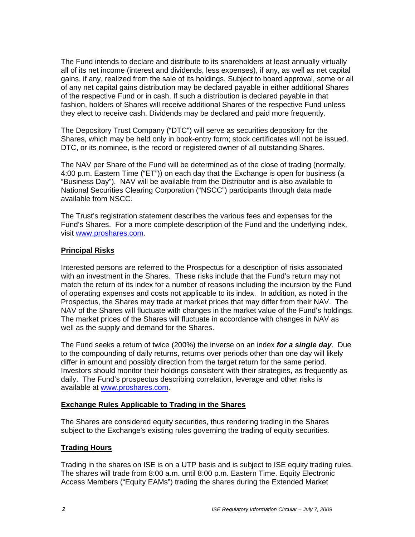The Fund intends to declare and distribute to its shareholders at least annually virtually all of its net income (interest and dividends, less expenses), if any, as well as net capital gains, if any, realized from the sale of its holdings. Subject to board approval, some or all of any net capital gains distribution may be declared payable in either additional Shares of the respective Fund or in cash. If such a distribution is declared payable in that fashion, holders of Shares will receive additional Shares of the respective Fund unless they elect to receive cash. Dividends may be declared and paid more frequently.

The Depository Trust Company ("DTC") will serve as securities depository for the Shares, which may be held only in book-entry form; stock certificates will not be issued. DTC, or its nominee, is the record or registered owner of all outstanding Shares.

The NAV per Share of the Fund will be determined as of the close of trading (normally, 4:00 p.m. Eastern Time ("ET")) on each day that the Exchange is open for business (a "Business Day"). NAV will be available from the Distributor and is also available to National Securities Clearing Corporation ("NSCC") participants through data made available from NSCC.

The Trust's registration statement describes the various fees and expenses for the Fund's Shares. For a more complete description of the Fund and the underlying index, visit www.proshares.com.

#### **Principal Risks**

Interested persons are referred to the Prospectus for a description of risks associated with an investment in the Shares. These risks include that the Fund's return may not match the return of its index for a number of reasons including the incursion by the Fund of operating expenses and costs not applicable to its index. In addition, as noted in the Prospectus, the Shares may trade at market prices that may differ from their NAV. The NAV of the Shares will fluctuate with changes in the market value of the Fund's holdings. The market prices of the Shares will fluctuate in accordance with changes in NAV as well as the supply and demand for the Shares.

The Fund seeks a return of twice (200%) the inverse on an index *for a single day*. Due to the compounding of daily returns, returns over periods other than one day will likely differ in amount and possibly direction from the target return for the same period. Investors should monitor their holdings consistent with their strategies, as frequently as daily. The Fund's prospectus describing correlation, leverage and other risks is available at www.proshares.com.

#### **Exchange Rules Applicable to Trading in the Shares**

The Shares are considered equity securities, thus rendering trading in the Shares subject to the Exchange's existing rules governing the trading of equity securities.

#### **Trading Hours**

Trading in the shares on ISE is on a UTP basis and is subject to ISE equity trading rules. The shares will trade from 8:00 a.m. until 8:00 p.m. Eastern Time. Equity Electronic Access Members ("Equity EAMs") trading the shares during the Extended Market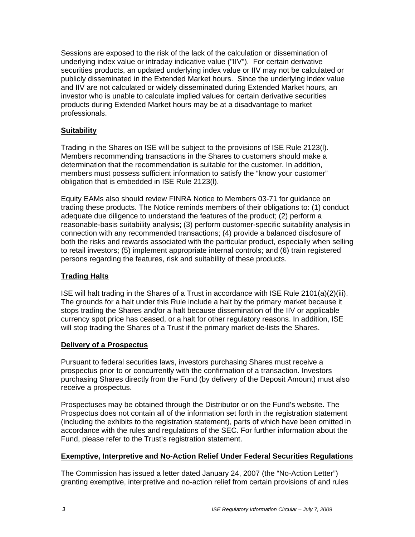Sessions are exposed to the risk of the lack of the calculation or dissemination of underlying index value or intraday indicative value ("IIV"). For certain derivative securities products, an updated underlying index value or IIV may not be calculated or publicly disseminated in the Extended Market hours. Since the underlying index value and IIV are not calculated or widely disseminated during Extended Market hours, an investor who is unable to calculate implied values for certain derivative securities products during Extended Market hours may be at a disadvantage to market professionals.

## **Suitability**

Trading in the Shares on ISE will be subject to the provisions of ISE Rule 2123(l). Members recommending transactions in the Shares to customers should make a determination that the recommendation is suitable for the customer. In addition, members must possess sufficient information to satisfy the "know your customer" obligation that is embedded in ISE Rule 2123(l).

Equity EAMs also should review FINRA Notice to Members 03-71 for guidance on trading these products. The Notice reminds members of their obligations to: (1) conduct adequate due diligence to understand the features of the product; (2) perform a reasonable-basis suitability analysis; (3) perform customer-specific suitability analysis in connection with any recommended transactions; (4) provide a balanced disclosure of both the risks and rewards associated with the particular product, especially when selling to retail investors; (5) implement appropriate internal controls; and (6) train registered persons regarding the features, risk and suitability of these products.

### **Trading Halts**

ISE will halt trading in the Shares of a Trust in accordance with ISE Rule 2101(a)(2)(iii). The grounds for a halt under this Rule include a halt by the primary market because it stops trading the Shares and/or a halt because dissemination of the IIV or applicable currency spot price has ceased, or a halt for other regulatory reasons. In addition, ISE will stop trading the Shares of a Trust if the primary market de-lists the Shares.

### **Delivery of a Prospectus**

Pursuant to federal securities laws, investors purchasing Shares must receive a prospectus prior to or concurrently with the confirmation of a transaction. Investors purchasing Shares directly from the Fund (by delivery of the Deposit Amount) must also receive a prospectus.

Prospectuses may be obtained through the Distributor or on the Fund's website. The Prospectus does not contain all of the information set forth in the registration statement (including the exhibits to the registration statement), parts of which have been omitted in accordance with the rules and regulations of the SEC. For further information about the Fund, please refer to the Trust's registration statement.

## **Exemptive, Interpretive and No-Action Relief Under Federal Securities Regulations**

The Commission has issued a letter dated January 24, 2007 (the "No-Action Letter") granting exemptive, interpretive and no-action relief from certain provisions of and rules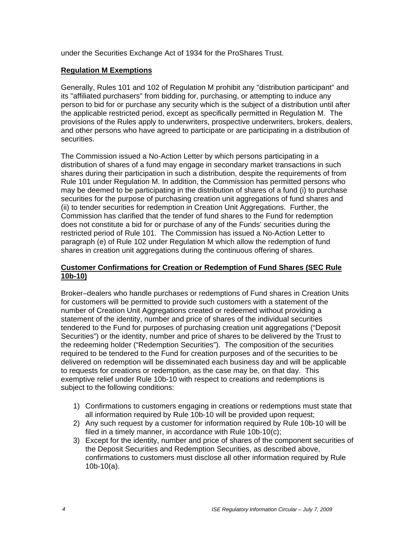under the Securities Exchange Act of 1934 for the ProShares Trust.

### **Regulation M Exemptions**

Generally, Rules 101 and 102 of Regulation M prohibit any "distribution participant" and its "affiliated purchasers" from bidding for, purchasing, or attempting to induce any person to bid for or purchase any security which is the subject of a distribution until after the applicable restricted period, except as specifically permitted in Regulation M. The provisions of the Rules apply to underwriters, prospective underwriters, brokers, dealers, and other persons who have agreed to participate or are participating in a distribution of securities.

The Commission issued a No-Action Letter by which persons participating in a distribution of shares of a fund may engage in secondary market transactions in such shares during their participation in such a distribution, despite the requirements of from Rule 101 under Regulation M. In addition, the Commission has permitted persons who may be deemed to be participating in the distribution of shares of a fund (i) to purchase securities for the purpose of purchasing creation unit aggregations of fund shares and (ii) to tender securities for redemption in Creation Unit Aggregations. Further, the Commission has clarified that the tender of fund shares to the Fund for redemption does not constitute a bid for or purchase of any of the Funds' securities during the restricted period of Rule 101. The Commission has issued a No-Action Letter to paragraph (e) of Rule 102 under Regulation M which allow the redemption of fund shares in creation unit aggregations during the continuous offering of shares.

### **Customer Confirmations for Creation or Redemption of Fund Shares (SEC Rule 10b-10)**

Broker–dealers who handle purchases or redemptions of Fund shares in Creation Units for customers will be permitted to provide such customers with a statement of the number of Creation Unit Aggregations created or redeemed without providing a statement of the identity, number and price of shares of the individual securities tendered to the Fund for purposes of purchasing creation unit aggregations ("Deposit Securities") or the identity, number and price of shares to be delivered by the Trust to the redeeming holder ("Redemption Securities"). The composition of the securities required to be tendered to the Fund for creation purposes and of the securities to be delivered on redemption will be disseminated each business day and will be applicable to requests for creations or redemption, as the case may be, on that day. This exemptive relief under Rule 10b-10 with respect to creations and redemptions is subject to the following conditions:

- 1) Confirmations to customers engaging in creations or redemptions must state that all information required by Rule 10b-10 will be provided upon request;
- 2) Any such request by a customer for information required by Rule 10b-10 will be filed in a timely manner, in accordance with Rule 10b-10(c);
- 3) Except for the identity, number and price of shares of the component securities of the Deposit Securities and Redemption Securities, as described above, confirmations to customers must disclose all other information required by Rule 10b-10(a).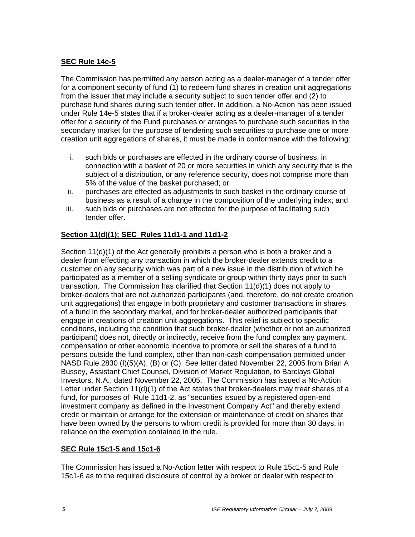### **SEC Rule 14e-5**

The Commission has permitted any person acting as a dealer-manager of a tender offer for a component security of fund (1) to redeem fund shares in creation unit aggregations from the issuer that may include a security subject to such tender offer and (2) to purchase fund shares during such tender offer. In addition, a No-Action has been issued under Rule 14e-5 states that if a broker-dealer acting as a dealer-manager of a tender offer for a security of the Fund purchases or arranges to purchase such securities in the secondary market for the purpose of tendering such securities to purchase one or more creation unit aggregations of shares, it must be made in conformance with the following:

- i. such bids or purchases are effected in the ordinary course of business, in connection with a basket of 20 or more securities in which any security that is the subject of a distribution, or any reference security, does not comprise more than 5% of the value of the basket purchased; or
- ii. purchases are effected as adjustments to such basket in the ordinary course of business as a result of a change in the composition of the underlying index; and
- iii. such bids or purchases are not effected for the purpose of facilitating such tender offer.

# **Section 11(d)(1); SEC Rules 11d1-1 and 11d1-2**

Section 11(d)(1) of the Act generally prohibits a person who is both a broker and a dealer from effecting any transaction in which the broker-dealer extends credit to a customer on any security which was part of a new issue in the distribution of which he participated as a member of a selling syndicate or group within thirty days prior to such transaction. The Commission has clarified that Section 11(d)(1) does not apply to broker-dealers that are not authorized participants (and, therefore, do not create creation unit aggregations) that engage in both proprietary and customer transactions in shares of a fund in the secondary market, and for broker-dealer authorized participants that engage in creations of creation unit aggregations. This relief is subject to specific conditions, including the condition that such broker-dealer (whether or not an authorized participant) does not, directly or indirectly, receive from the fund complex any payment, compensation or other economic incentive to promote or sell the shares of a fund to persons outside the fund complex, other than non-cash compensation permitted under NASD Rule 2830 (I)(5)(A), (B) or (C). See letter dated November 22, 2005 from Brian A Bussey, Assistant Chief Counsel, Division of Market Regulation, to Barclays Global Investors, N.A., dated November 22, 2005. The Commission has issued a No-Action Letter under Section 11(d)(1) of the Act states that broker-dealers may treat shares of a fund, for purposes of Rule 11d1-2, as "securities issued by a registered open-end investment company as defined in the Investment Company Act" and thereby extend credit or maintain or arrange for the extension or maintenance of credit on shares that have been owned by the persons to whom credit is provided for more than 30 days, in reliance on the exemption contained in the rule.

## **SEC Rule 15c1-5 and 15c1-6**

The Commission has issued a No-Action letter with respect to Rule 15c1-5 and Rule 15c1-6 as to the required disclosure of control by a broker or dealer with respect to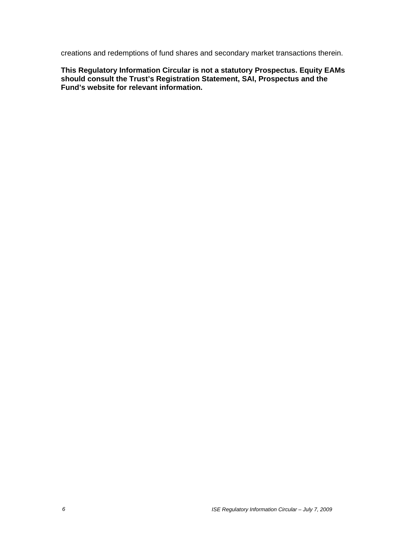creations and redemptions of fund shares and secondary market transactions therein.

**This Regulatory Information Circular is not a statutory Prospectus. Equity EAMs should consult the Trust's Registration Statement, SAI, Prospectus and the Fund's website for relevant information.**